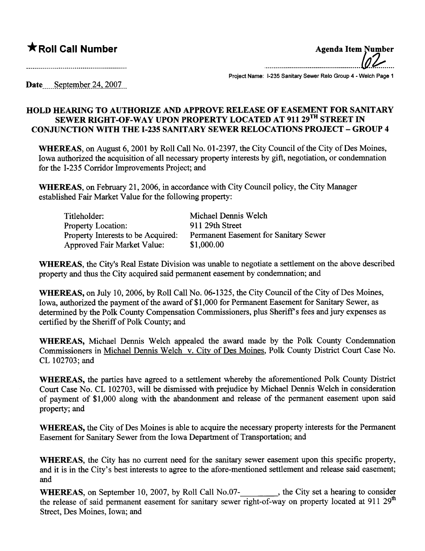## **\*** Roll Call Number Agenda Item Number

and a complete the contract of the complete of the complete of the complete of the complete of the complete of

................................................lf~....

Project Name: 1-235 Sanitary Sewer Relo Group 4 - Welch Page 1

Date....September 24, 2007

## HOLD HEARNG TO AUTHORIZE AND APPROVE RELEASE OF EASEMENT FOR SANITARY SEWER RIGHT-OF-WAY UPON PROPERTY LOCATED AT 911 29<sup>TH</sup> STREET IN CONJUCTION WITH THE 1-235 SANITARY SEWER RELOCATIONS PROJECT - GROUP 4

WHEREAS, on August 6,2001 by Roll Call No. 01-2397, the City Council of the City of Des Moines, Iowa authorized the acquisition of all necessary property interests by gift, negotiation, or condemnation for the 1-235 Corrdor Improvements Project; and

WHEREAS, on February 21, 2006, in accordance with City Council policy, the City Manager established Fair Market Value for the following property:

| Titleholder:                       | Michael Dennis Welch                  |
|------------------------------------|---------------------------------------|
| <b>Property Location:</b>          | 911 29th Street                       |
| Property Interests to be Acquired: | Permanent Easement for Sanitary Sewer |
| Approved Fair Market Value:        | \$1,000.00                            |

WHEREAS, the City's Real Estate Division was unable to negotiate a settlement on the above described property and thus the City acquired said permanent easement by condemnation; and

WHEREAS, on July 10,2006, by Roll Call No. 06-1325, the City Council of the City of Des Moines, Iowa, authorized the payment of the award of \$1,000 for Permanent Easement for Sanitary Sewer, as determined by the Polk County Compensation Commissioners, plus Sheriff's fees and jury expenses as certified by the Sheriff of Polk County; and

WHEREAS, Michael Dennis Welch appealed the award made by the Polk County Condemnation Commissioners in Michael Dennis Welch v. City of Des Moines, Polk County District Court Case No. CL 102703; and

WHEREAS, the parties have agreed to a settlement whereby the aforementioned Polk County District Court Case No. CL 102703, will be dismissed with prejudice by Michael Dennis Welch in consideration of payment of \$1,000 along with the abandonment and release of the permanent easement upon said property; and

WHEREAS, the City of Des Moines is able to acquire the necessary property interests for the Permanent Easement for Sanitary Sewer from the Iowa Department of Transportation; and

WHEREAS, the City has no current need for the sanitary sewer easement upon this specific property, and it is in the City's best interests to agree to the afore-mentioned settlement and release said easement; and

WHEREAS, on September 10, 2007, by Roll Call No.07-<br>
<sub>1</sub>, the City set a hearing to consider the release of said permanent easement for sanitary sewer right-of-way on property located at 911  $29<sup>th</sup>$ Street, Des Moines, Iowa; and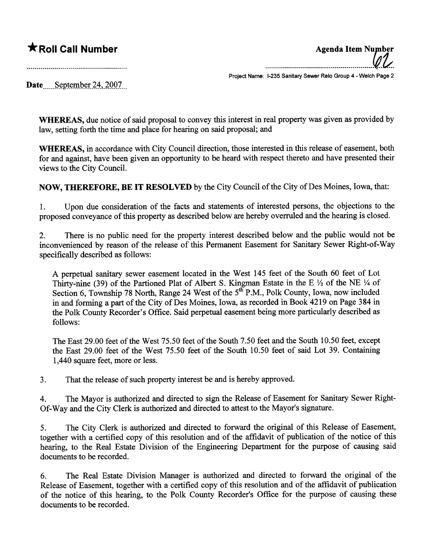$\bigstar$  Roll Call Number  $\bigstar$  Roll Call Number ......................................................lli..

Project Name: 1-235 Sanitary Sewer Relo Group 4 - Welch Page 2

Date....September 24, 2007

WHEREAS, due notice of said proposal to convey this interest in real property was given as provided by law, setting forth the time and place for hearng on said proposal; and

WHEREAS, in accordance with City Council direction, those interested in this release of easement, both for and against, have been given an opportunity to be heard with respect thereto and have presented their views to the City CounciL.

NOW, THEREFORE, BE IT RESOLVED by the City Council of the City of Des Moines, Iowa, that:

1. Upon due consideration of the facts and statements of interested persons, the objections to the proposed conveyance of this property as described below are hereby overruled and the hearing is closed.

2. There is no public need for the property interest described below and the public would not be inconvenienced by reason of the release of this Permanent Easement for Sanitary Sewer Right-of-Way specifically described as follows:

A perpetual sanitary sewer easement located in the West 145 feet of the South 60 feet of Lot Thirty-nine (39) of the Partioned Plat of Albert S. Kingman Estate in the E  $\frac{1}{2}$  of the NE  $\frac{1}{4}$  of Section 6, Township 78 North, Range 24 West of the 5<sup>th P</sup>.M., Polk County, Iowa, now included in and forming a part of the City of Des Moines, Iowa, as recorded in Book 4219 on Page 384 in the Polk County Recorder's Office. Said perpetual easement being more particularly described as follows:

The East 29.00 feet of the West 75.50 feet of the South 7.50 feet and the South 10.50 feet, except the East 29.00 feet of the West 75.50 feet of the South 10.50 feet of said Lot 39. Containing 1,440 square feet, more or less.

3. That the release of such property interest be and is hereby approved.

4. The Mayor is authorized and directed to sign the Release of Easement for Sanitary Sewer Right-Of-Way and the City Clerk is authorized and directed to attest to the Mayor's signatue.

5. The City Clerk is authorized and directed to forward the original of this Release of Easement, together with a certified copy of this resolution and of the affidavit of publication of the notice of this hearing, to the Real Estate Division of the Engineering Department for the purpose of causing said documents to be recorded.

6. The Real Estate Division Manager is authorized and directed to forward the original of the Release of Easement, together with a certified copy of ths resolution and of the affidavit of publication of the notice of this hearing, to the Polk County Recorder's Office for the purpose of causing these documents to be recorded.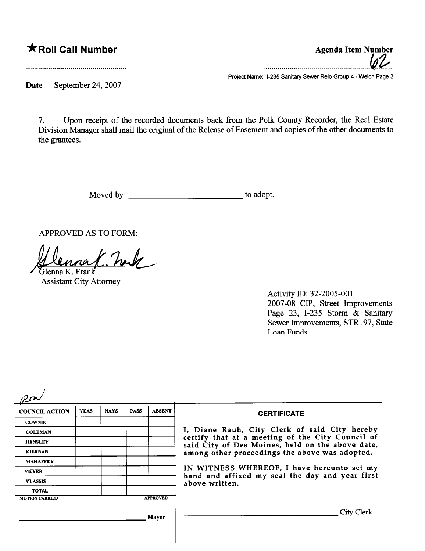## **★ Roll Call Number** Agenda Item Number

.....................................................fd.i...

Date.....September 24, 2007...

Project Name: 1-235 Sanitary Sewer Relo Group 4 - Welch Page 3

7. Upon receipt of the recorded documents back from the Polk County Recorder, the Real Estate Division Manager shall mail the original of the Release of Easement and copies of the other documents to the grantees.

Moved by to adopt.

APPROVED AS TO FORM:

Denna K. nak

**Assistant City Attorney** 

Activity ID: 32-2005-001 2007 -08 CIP, Street Improvements Page 23, I-235 Storm & Sanitary Sewer Improvements, STR197, State Loan Funds

|                       |             |             |             |                 | the control of the control of the control of the control of the control of the control of                                                                                                               |
|-----------------------|-------------|-------------|-------------|-----------------|---------------------------------------------------------------------------------------------------------------------------------------------------------------------------------------------------------|
| <b>COUNCIL ACTION</b> | <b>YEAS</b> | <b>NAYS</b> | <b>PASS</b> | <b>ABSENT</b>   | <b>CERTIFICATE</b>                                                                                                                                                                                      |
| <b>COWNIE</b>         |             |             |             |                 |                                                                                                                                                                                                         |
| <b>COLEMAN</b>        |             |             |             |                 | I, Diane Rauh, City Clerk of said City hereby<br>certify that at a meeting of the City Council of<br>said City of Des Moines, held on the above date,<br>among other proceedings the above was adopted. |
| <b>HENSLEY</b>        |             |             |             |                 |                                                                                                                                                                                                         |
| <b>KIERNAN</b>        |             |             |             |                 |                                                                                                                                                                                                         |
| <b>MAHAFFEY</b>       |             |             |             |                 |                                                                                                                                                                                                         |
| <b>MEYER</b>          |             |             |             |                 | IN WITNESS WHEREOF, I have hereunto set my<br>hand and affixed my seal the day and year first<br>above written.                                                                                         |
| <b>VLASSIS</b>        |             |             |             |                 |                                                                                                                                                                                                         |
| <b>TOTAL</b>          |             |             |             |                 |                                                                                                                                                                                                         |
| <b>MOTION CARRIED</b> |             |             |             | <b>APPROVED</b> |                                                                                                                                                                                                         |
|                       |             |             |             | Mayor           | City Clerk                                                                                                                                                                                              |